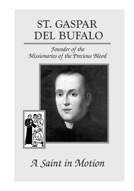# ST. GASPAR DEL BUFALO

### *Founder of the Missionaries of the Precious Blood*



## *A Saint in Motion*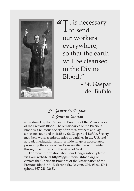

**T** t is necessary<br>to send **L** to send out workers everywhere, so that the earth will be cleansed in the Divine Blood."

- St. Gaspar del Bufalo

#### *St. Gaspar del Bufalo: A Saint in Motion*

is produced by the Cincinnati Province of the Missionaries of the Precious Blood. The Missionaries of the Precious Blood is a religious society of priests, brothers and lay associates founded in 1815 by St. Gaspar del Bufalo. Society members work as missionaries in parishes in the U.S. and abroad, in education and in a wide range of apostolates, promoting the cause of God's reconciliation worldwide through the ministry of the Word of God.

For more information about our Congregation, please visit our website at **http://cpps-preciousblood.org** or contact the Cincinnati Province of the Missionaries of the Precious Blood, 431 E. Second St., Dayton, OH, 45402-1764 (phone 937-228-9263).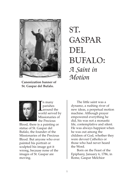

**Canonization banner of St. Gaspar del Bufalo.**

### ST. GASPAR DEL BUFALO: *A Saint in Motion*



In many<br>parishes<br>world served by n many parishes around the Missionaries of the Precious

Blood, there is a painting or statue of St. Gaspar del Bufalo, the founder of the Missionaries of the Precious Blood. But anyone who ever painted his portrait or sculpted his image got it wrong, because none of the images of St. Gaspar are moving.

The little saint was a dynamo, a rushing river of new ideas, a perpetual motion machine. Although prayer empowered everything he did, his was not a monastic life, contemplative and silent. He was always happiest when he was out among the children of God, whether they were devout Catholics or those who had never heard the Word.

Born on the Feast of the Epiphany, January 6, 1786, in Rome, Gaspar Melchior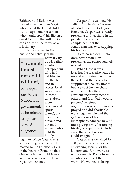Balthazar del Bufalo was named after the three Magi who visited the Christ child. It was an apt name for a man who would spend his life on a quest to fulfill the will of God, constantly on the move as a missionary.

He was raised in the bustle and activity of the

|                  | Γt            |
|------------------|---------------|
| "I cannot,       | by            |
|                  | a f           |
| I must           | en            |
|                  | wl            |
| <b>not</b> and I | da            |
| will not,"       | th            |
|                  | an            |
| St. Gaspar       | pr            |
|                  | <sub>SO</sub> |
| said to the      | in            |
| Napoleonic       | da            |
|                  | W(            |
| government,      | pr            |
|                  | sp            |
| as he refused    | tea           |
| to sign an       | hi            |
|                  | de            |
| oath of          | de            |
|                  | W(            |
| allegiance.      | he            |
|                  | $f_{\Omega}$  |

Eternal City *his father,* failed trepreneur ho had dabbled in e theater and in ofessional ccer (even those uys, there ere pfessional orts ams), and s mother, a evout and evoted oman who held the **⊐** family

together. When Gaspar was still a young boy, the family moved to the Palazzo Altieri, in the heart of Rome, so that Gaspar's father could take a job as a cook for a family with royal connections.

Gaspar always knew his calling. While still a 17-yearold student at the Collegio Romano, Gaspar was already preaching and teaching in his parish, where some complained that the seminarian was overstepping his bounds.

"Seminarian del Bufalo does better than I" in preaching, the pastor serenely replied.

While Gaspar was learning, he was also active in several ministries. He visited the sick and the poor, often stopping at a bakery first to buy a sweet treat to share with them. He offered constant encouragement to others, and founded a young persons' religious organization whose members prayed and did charitable work together. He had the gift, said one of his biographers, Amilcar Rey, of multiplying time, "of forcing his day to expand to include everything his busy mind could imagine."

Gaspar was ordained in 1808, and soon after formed an evening society for the laborers and farm workers who came into Rome from the countryside to sell their wares. He wanted to bring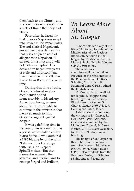them back to the Church, and to show those who slept in the streets of Rome that they had value.

Soon after, he faced his first crisis as Napoleon swept into power in the Papal States. The anti-clerical Napoleonic government was demanding that priests sign an oath of allegiance to Napoleon. "I cannot, I must not and I will not," Gaspar replied. His declaration began four years of exile and imprisonment. Even the pope, Pius VII, was forced from Rome at the same time.

During that time of exile, Gaspar's beloved mother died, which added immeasurably to his misery. Away from home, unsure about his future, unable to continue in the ministries that meant so much to him, Gaspar struggled against despair.

It was a defining time in his young life as a man and as a priest, writes Italian author Mario Spinelli, who authored a 1996 biography of the saint. "Life would not be stingy with trials for Gaspar," Spinelli writes. "But that moment was surely the severest, and his soul was to emerge forged and brilliant,

### *To Learn More About St. Gaspar*

A more detailed story of the life of St. Gaspar, founder of the Missionaries of the Precious Blood, can be found in the biography *No Turning Back,* by Mario Spinelli (Fr. John Klopke, C.PP.S., translator).

The work was commissioned by the Italian Province of the Missionaries of the Precious Blood. Fr. Robert Schreiter, C.PP.S., and Fr. Raymond Cera, C.PP.S., edited the English version.

*No Turning Back* is available for \$8 plus \$3 shipping and handling from the Precious Blood Resource Center, St. Charles Center, 2860 U.S. 127, Carthagena, Ohio, 45822.

A daily calendar featuring the writings of St. Gaspar, *St. Gaspar del Bufalo: Our Daily Companion*, compiled by the Moderator General, Fr. Barry Fischer, C.PP.S. is also available, for \$10 plus \$3 shipping and handling.

The images of St. Gaspar in this publication were taken from *Saint Gaspar Del Bufalo in the Arts,* by Fr. Milton Ballor, C.PP.S., also available from the Resource Center, for \$30 plus \$3 shipping and handling.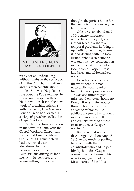

ready for an undertaking without limits in the service of God, the Church, his brethren and his own sanctification."

In 1814, with Napoleon's rule over, the Pope returned to Rome, and Gaspar with him. He threw himself into the new work of preaching missions with his friend, Don Gaetano Bonanni, who had formed a society of preachers called the Gospel Workers.

While preaching a mission in the town of Giano with the Gospel Workers, Gaspar saw for the first time the Abbey of San Felice (St. Felix), which had been used then abandoned by the Benedictines and the Augustinians during its long life. With its beautiful and serene setting, it was, he

thought, the perfect home for the new missionary society he felt driven to form.

Of course, an abandoned 10th century monastery would be a money pit, and Gaspar faced his share of temporal problems in fixing it up, getting the money to run it, and dealing with the local bishop, who wasn't sure he wanted this new congregation in his midst. With the help of local people, Gaspar himself laid brick and whitewashed walls.

Even his close friends in the priesthood did not necessarily want to follow him to Giano, Spinelli writes: "It was one thing to give missions then return home (to Rome). It was quite another thing to become full-time apostolic militants, like soldiers chosen to be stationed in an advance post with endless territories to defend or reconquer, as Gaspar wanted."

But he would not be discouraged. And on Aug. 15, 1815, to the music of pealing bells, and with the countryfolk who had helped him by his side, Gaspar opened the first house of his new Congregation of the Missionaries of the Most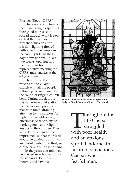Precious Blood (C.PP.S.).

There were only four of them, including Gaspar. But their good works soon spread through what is now central Italy, as they preached mission after mission, lighting fires of faith among the people in the countryside. In those days a mission would last two weeks, opening with the bishop or his representative meeting the C.PP.S. missionaries at the edge of town.

They would then process to the village church with all the people following, accompanied by the sound of ringing church bells. During the day, the missionaries would station themselves in a popular piazza in town, drawing attention to the mission. At night they would preach, offering special sessions to working men, and religion lessons to the children. They visited the sick and those imprisoned, so that the Word would be carried to all. It was an all-out, ambitious effort, so characteristic of the little saint.

In the years that followed, he opened new houses for his missionaries, 15 in his lifetime, and saw his



**Stained glass window of St. Gaspar at Our Lady of Good Counsel Church, Cleveland.**

**Throughout his** life Gaspar struggled with poor health and an anxious spirit. Underneath his iron convictions, Gaspar was a fearful man.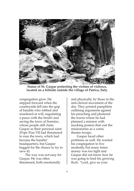

**Statue of St. Gaspar protecting the victims of violence, located on a hillside outside the village of Patrica, Italy.**

congregation grow. He stepped forward when the countryside fell into the grip of bandits who robbed and murdered at will, negotiating a peace with the *banditi* and saving the town of Sonnino, whose people still claim Gaspar as their personal saint (Pope Pius VII had threatened to raze the town, which had become the bandits' headquarters, but Gaspar begged for the chance to try to save it).

The way was not easy for Gaspar. He was often threatened, both emotionally

and physically, by those in the anti-clerical movement of the day. They printed pamphlets outlining arguments against his preaching and plastered the towns where he had planned a mission with mocking posters that cast the missionaries as a comic theater troupe.

Gaspar faced other problems as well. He wanted his congregation to live modestly, but many times money was too tight and Gaspar did not know how he was going to feed his growing flock. "Lord, give us your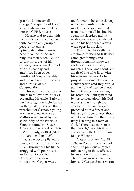grace and some small change," Gaspar would pray, as sporadic income trickled into the C.PP.S. houses.

He also had to deal with the problems that come along with leading any group of people – fractious, opinionated, discontented people can be found in a religious society too. Fellow priests not a part of his congregation accused him of pride, hypocrisy and ambition. Even popes questioned Gaspar harshly and often about the sincerity and purpose of his Congregation.

Through it all, he inspired others to follow him, always expanding his circle. Early on, the Congregation included lay brothers. Also, through the preaching of Gaspar, a young woman named Maria de Mattias was moved by the spirituality of the Precious Blood to found the Sister Adorers of the Blood of Christ in Acuto, Italy, in 1834 (Maria was canonized in 2003).

Gaspar accomplished so much, and he did it with so little – throughout his life he struggled with poor health and an anxious spirit. Underneath his iron convictions, Gaspar was a

fearful man whose missionary work ran counter to his meekness. Gaspar suffered from insomnia all his life. He spent his sleepless nights writing or praying, stretched out on his bed with his eyes wide open in the dark.

From this physically frail, emotionally charged little man came great things, and through him, his followers said, God worked many miracles. There was about him an air of one who lives with his eyes on heaven. As he prayed, other members of his Congregation said they would see the light of heaven about him; if Gaspar was praying in his room, the light generated by his conversation with God would shine through the cracks in his door. Gaspar preached with a fervor and intensity that convinced those who heard him that they were truly listening to a man of God. "There was more to it than words," said his first successor in the C.PP.S., Don Biagio Valentini.

Gaspar died on Dec. 28, 1837, in Rome, where he had spent the previous summer ministering to those affected by an epidemic of cholera. The physician who examined him said Gaspar died a victim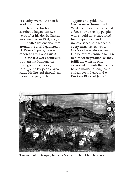of charity, worn out from his work for others.

The cause for his sainthood began just two years after his death. Gaspar was beatified in 1904, and, in 1954, with Missionaries from around the world gathered in St. Peter's Square, he was canonized by Pope Pius XII.

Gaspar's work continues through his Missionaries throughout the world, through the lay people who study his life and through all those who pray to him for

support and guidance. Gaspar never turned back. Weakened by ailments, called a fanatic or a fool by people who should have supported him, imprisoned and impoverished, challenged at every turn, his answer to God's call was always yes. His followers continue to turn to him for inspiration, as they fulfill the wish he once expressed: "I wish that I could have a thousand tongues to endear every heart to the Precious Blood of Jesus."



**The tomb of St. Gaspar, in Santa Maria in Trivio Church, Rome.**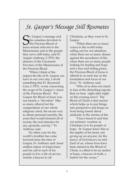### *St. Gaspar's Message Still Resonates*

S<sub>lesus</sub> t. Gaspar's message and his ceaseless devotion to the Precious Blood of Jesus remain relevant to the Missionaries and to the people they serve still today, said Fr. Angelo Anthony, C.PP.S. the director of the Cincinnati Province of the Missionaries of the Precious Blood.

"When I think of the impact the life of St. Gaspar can have in our own day, I recall something that Fr. Raymond Cera, C.PP.S., wrote concerning the scope of St. Gaspar's vision of the Precious Blood: 'For Gaspar the Blood of Jesus was not merely a "devotion" (like so many others) but the compendium of our whole religious creed, the secure way to obtain personal sanctity, the yeast that would ferment all of society, the real stimulus for any apostolic activity,'" Fr. Anthony said.

No other cure for the world's troubles has come forward since the time of Gaspar, Fr. Anthony said. Jesus' endless stance of forgiveness and his call to each of his people to live a life of service remain a beacon to all

Christians, as they were to St. Gaspar.

"When there are so many voices in the world today calling out for our attention; when there are so many abuses against the sacredness of life; when there are so many people looking for healing and hope and a true and lasting peace, the Precious Blood of Jesus is offered to us each day as the foundation and focus of our lives," Fr. Anthony said.

"Who of us does not stand in fear at the disturbing reports that we hear night after night on the evening news? The Blood of Christ is that anchor which helps us to put things into perspective and keeps us from being tossed about aimlessly in the storms of life.

"I have heard it said that our primary vocation as Christians is to be people of hope. St. Gaspar knew this at the depths of his heart, not giving up on anyone, for the mercy of God knows no end. Each of us, whose lives have been stained in the Blood of Christ, is called to be an anchor of hope, a beacon of truth, a harbor for the weary."